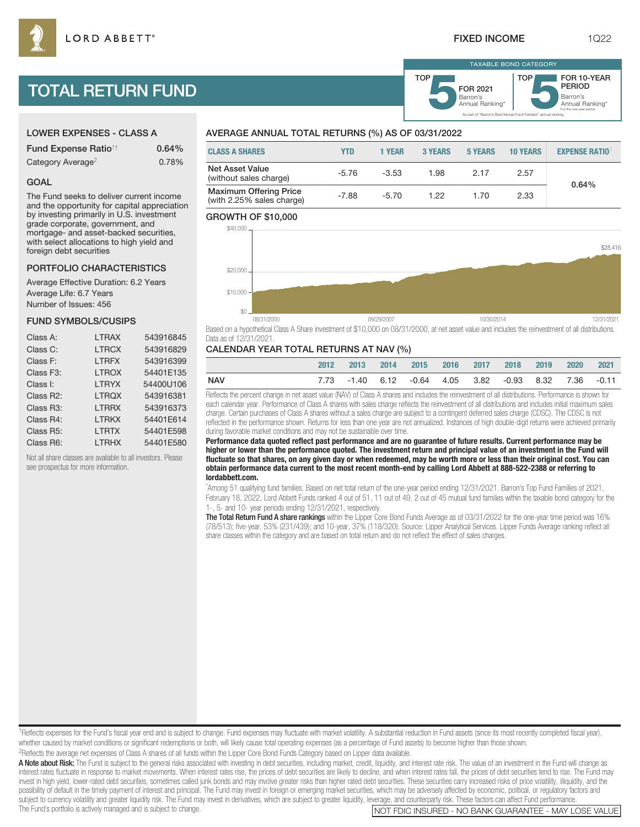Barron's<br>Annual Ranking\* FOR 2021

TAXABLE BOND CATEGORY

**TOP** 

As part of "Barron's Best Mutual Fund Families" annual ranking.

Barron's<br>Annual Ranking\*

For the one-year period.

FOR 10-YEAR PERIOD

# TOTAL RETURN FUND

# LOWER EXPENSES - CLASS A

| <b>Fund Expense Ratio<sup>1†</sup></b> | 0.64% |
|----------------------------------------|-------|
| Category Average <sup>2</sup>          | 0.78% |

#### GOAL

The Fund seeks to deliver current income and the opportunity for capital appreciation by investing primarily in U.S. investment grade corporate, government, and mortgage- and asset-backed securities, with select allocations to high yield and foreign debt securities

#### PORTFOLIO CHARACTERISTICS

Average Effective Duration: 6.2 Years Average Life: 6.7 Years Number of Issues: 456

#### FUND SYMBOLS/CUSIPS

| Class A:               | <b>LTRAX</b> | 543916845 |
|------------------------|--------------|-----------|
| Class C:               | <b>LTRCX</b> | 543916829 |
| Class F:               | <b>LTRFX</b> | 543916399 |
| Class F <sub>3</sub> : | <b>LTROX</b> | 54401E135 |
| Class I:               | <b>LTRYX</b> | 54400U106 |
| Class R2:              | <b>LTRQX</b> | 543916381 |
| Class R <sub>3</sub> : | <b>LTRRX</b> | 543916373 |
| Class R4:              | <b>LTRKX</b> | 54401E614 |
| Class R <sub>5</sub> : | <b>LTRTX</b> | 54401E598 |
| Class R6:              | <b>LTRHX</b> | 54401E580 |

Not all share classes are available to all investors. Please see prospectus for more information.

## AVERAGE ANNUAL TOTAL RETURNS (%) AS OF 03/31/2022

| <b>CLASS A SHARES</b>                                      | YTD     | <b>1 YEAR</b> | 3 YEARS | 5 YEARS | <b>10 YEARS</b> | <b>EXPENSE RATIO</b> |
|------------------------------------------------------------|---------|---------------|---------|---------|-----------------|----------------------|
| <b>Net Asset Value</b><br>(without sales charge)           | $-5.76$ | $-3.53$       | 1.98    | 2.17    | 2.57            | 0.64%                |
| <b>Maximum Offering Price</b><br>(with 2.25% sales charge) | $-7.88$ | $-5.70$       | 1 22    | 1.70    | 2.33            |                      |

TOP

#### GROWTH OF \$10,000



Based on a hypothetical Class A Share investment of \$10,000 on 08/31/2000, at net asset value and includes the reinvestment of all distributions. Data as of 12/31/2021.

#### CALENDAR YEAR TOTAL RETURNS AT NAV (%)

|     | 2012 | $-2013$ | 2014 2015 2016 2017 2018                              |  | 2019 2020 | 2021 |
|-----|------|---------|-------------------------------------------------------|--|-----------|------|
| NAV |      |         | 7.73 -1.40 6.12 -0.64 4.05 3.82 -0.93 8.32 7.36 -0.11 |  |           |      |

Reflects the percent change in net asset value (NAV) of Class A shares and includes the reinvestment of all distributions. Performance is shown for each calendar year. Performance of Class A shares with sales charge reflects the reinvestment of all distributions and includes initial maximum sales charge. Certain purchases of Class A shares without a sales charge are subject to a contingent deferred sales charge (CDSC). The CDSC is not reflected in the performance shown. Returns for less than one year are not annualized. Instances of high double-digit returns were achieved primarily during favorable market conditions and may not be sustainable over time.

**Performance data quoted reflect past performance and are no guarantee of future results. Current performance may be higher or lower than the performance quoted. The investment return and principal value of an investment in the Fund will fluctuate so that shares, on any given day or when redeemed, may be worth more or less than their original cost. You can obtain performance data current to the most recent month-end by calling Lord Abbett at 888-522-2388 or referring to lordabbett.com.**

\* Among 51 qualifying fund families. Based on net total return of the one-year period ending 12/31/2021. Barron's Top Fund Families of 2021, February 18, 2022, Lord Abbett Funds ranked 4 out of 51, 11 out of 49, 2 out of 45 mutual fund families within the taxable bond category for the 1-, 5- and 10- year periods ending 12/31/2021, respectively.

The Total Return Fund A share rankings within the Lipper Core Bond Funds Average as of 03/31/2022 for the one-year time period was 16% (78/513); five-year, 53% (231/439); and 10-year, 37% (118/320). Source: Lipper Analytical Services. Lipper Funds Average ranking reflect all share classes within the category and are based on total return and do not reflect the effect of sales charges.

<sup>1</sup>Reflects expenses for the Fund's fiscal year end and is subject to change. Fund expenses may fluctuate with market volatility. A substantial reduction in Fund assets (since its most recently completed fiscal year), whether caused by market conditions or significant redemptions or both, will likely cause total operating expenses (as a percentage of Fund assets) to become higher than those shown.

2Reflects the average net expenses of Class A shares of all funds within the Lipper Core Bond Funds Category based on Lipper data available.

A Note about Risk: The Fund is subject to the general risks associated with investing in debt securities, including market, credit, liquidity, and interest rate risk. The value of an investment in the Fund will change as interest rates fluctuate in response to market movements. When interest rates rise, the prices of debt securities are likely to decline, and when interest rates fall, the prices of debt securities tend to rise. The Fund may invest in high yield, lower-rated debt securities, sometimes called junk bonds and may involve greater risks than higher rated debt securities. These securities carry increased risks of price volatility, illiquidity, and t possibility of default in the timely payment of interest and principal. The Fund may invest in foreign or emerging market securities, which may be adversely affected by economic, political, or regulatory factors and subject to currency volatility and greater liquidity risk. The Fund may invest in derivatives, which are subject to greater liquidity, leverage, and counterparty risk. These factors can affect Fund performance.